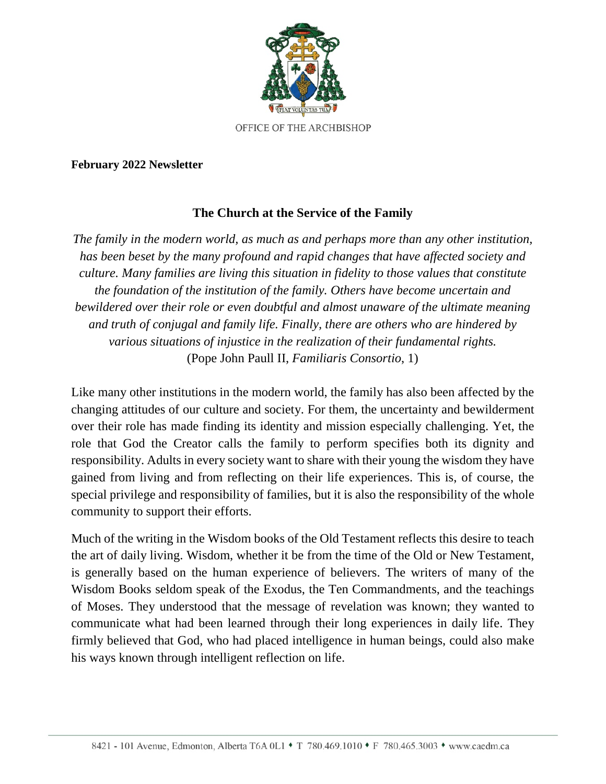

## **February 2022 Newsletter**

## **The Church at the Service of the Family**

*The family in the modern world, as much as and perhaps more than any other institution, has been beset by the many profound and rapid changes that have affected society and culture. Many families are living this situation in fidelity to those values that constitute the foundation of the institution of the family. Others have become uncertain and bewildered over their role or even doubtful and almost unaware of the ultimate meaning and truth of conjugal and family life. Finally, there are others who are hindered by various situations of injustice in the realization of their fundamental rights.* (Pope John Paull II, *Familiaris Consortio*, 1)

Like many other institutions in the modern world, the family has also been affected by the changing attitudes of our culture and society. For them, the uncertainty and bewilderment over their role has made finding its identity and mission especially challenging. Yet, the role that God the Creator calls the family to perform specifies both its dignity and responsibility. Adults in every society want to share with their young the wisdom they have gained from living and from reflecting on their life experiences. This is, of course, the special privilege and responsibility of families, but it is also the responsibility of the whole community to support their efforts.

Much of the writing in the Wisdom books of the Old Testament reflects this desire to teach the art of daily living. Wisdom, whether it be from the time of the Old or New Testament, is generally based on the human experience of believers. The writers of many of the Wisdom Books seldom speak of the Exodus, the Ten Commandments, and the teachings of Moses. They understood that the message of revelation was known; they wanted to communicate what had been learned through their long experiences in daily life. They firmly believed that God, who had placed intelligence in human beings, could also make his ways known through intelligent reflection on life.